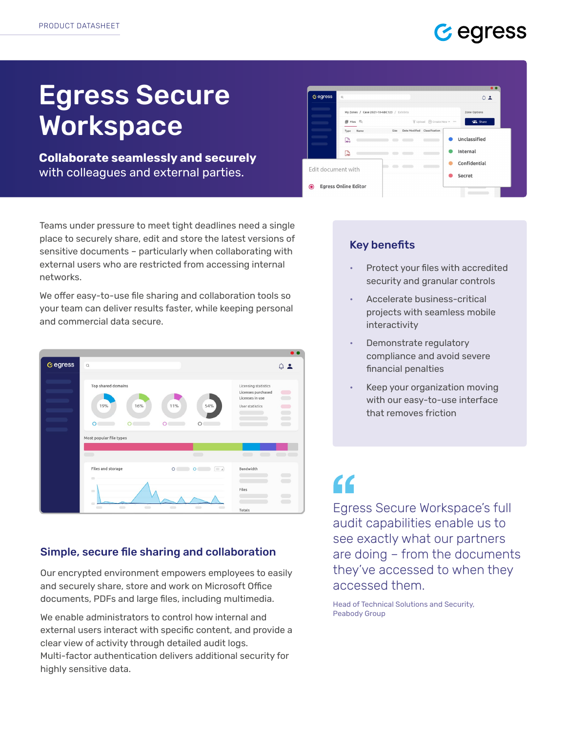

# Egress Secure Workspace

Collaborate seamlessly and securely with colleagues and external parties.

Teams under pressure to meet tight deadlines need a single place to securely share, edit and store the latest versions of sensitive documents – particularly when collaborating with external users who are restricted from accessing internal networks.

We offer easy-to-use file sharing and collaboration tools so your team can deliver results faster, while keeping personal and commercial data secure.



#### Simple, secure file sharing and collaboration

Our encrypted environment empowers employees to easily and securely share, store and work on Microsoft Office documents, PDFs and large files, including multimedia.

We enable administrators to control how internal and external users interact with specific content, and provide a clear view of activity through detailed audit logs. Multi-factor authentication delivers additional security for highly sensitive data.



### Key benefits

- Protect your files with accredited security and granular controls
- Accelerate business-critical projects with seamless mobile interactivity
- Demonstrate regulatory compliance and avoid severe financial penalties
- Keep your organization moving with our easy-to-use interface that removes friction

## $\epsilon$

Egress Secure Workspace's full audit capabilities enable us to see exactly what our partners are doing – from the documents they've accessed to when they accessed them.

Head of Technical Solutions and Security, Peabody Group